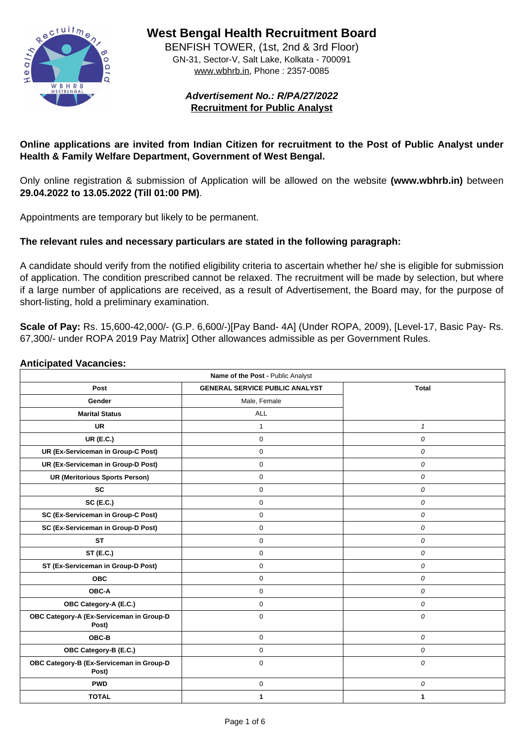

**West Bengal Health Recruitment Board**

BENFISH TOWER, (1st, 2nd & 3rd Floor) GN-31, Sector-V, Salt Lake, Kolkata - 700091 www.wbhrb.in, Phone : 2357-0085

> **Advertisement No.: R/PA/27/2022 Recruitment for Public Analyst**

**Online applications are invited from Indian Citizen for recruitment to the Post of Public Analyst under Health & Family Welfare Department, Government of West Bengal.**

Only online registration & submission of Application will be allowed on the website **(www.wbhrb.in)** between **29.04.2022 to 13.05.2022 (Till 01:00 PM)**.

Appointments are temporary but likely to be permanent.

## **The relevant rules and necessary particulars are stated in the following paragraph:**

A candidate should verify from the notified eligibility criteria to ascertain whether he/ she is eligible for submission of application. The condition prescribed cannot be relaxed. The recruitment will be made by selection, but where if a large number of applications are received, as a result of Advertisement, the Board may, for the purpose of short-listing, hold a preliminary examination.

**Scale of Pay:** Rs. 15,600-42,000/- (G.P. 6,600/-)[Pay Band- 4A] (Under ROPA, 2009), [Level-17, Basic Pay- Rs. 67,300/- under ROPA 2019 Pay Matrix] Other allowances admissible as per Government Rules.

### **Anticipated Vacancies:**

| <b>Name of the Post - Public Analyst</b>          |                                       |                  |  |  |
|---------------------------------------------------|---------------------------------------|------------------|--|--|
| <b>Post</b>                                       | <b>GENERAL SERVICE PUBLIC ANALYST</b> | <b>Total</b>     |  |  |
| <b>Gender</b>                                     | Male, Female                          |                  |  |  |
| <b>Marital Status</b>                             | <b>ALL</b>                            |                  |  |  |
| <b>UR</b>                                         |                                       |                  |  |  |
| <b>UR (E.C.)</b>                                  | $\overline{0}$                        | $\boldsymbol{0}$ |  |  |
| <b>UR (Ex-Serviceman in Group-C Post)</b>         | 0                                     | 0                |  |  |
| <b>UR (Ex-Serviceman in Group-D Post)</b>         | $\overline{0}$                        | $\boldsymbol{0}$ |  |  |
| <b>UR (Meritorious Sports Person)</b>             | $\overline{0}$                        | $\boldsymbol{0}$ |  |  |
| <b>SC</b>                                         | 0                                     | $\overline{O}$   |  |  |
| <b>SC (E.C.)</b>                                  | $\overline{0}$                        | $\boldsymbol{0}$ |  |  |
| <b>SC (Ex-Serviceman in Group-C Post)</b>         | $\boldsymbol{0}$                      | $\boldsymbol{O}$ |  |  |
| <b>SC (Ex-Serviceman in Group-D Post)</b>         | $\overline{0}$                        | $\boldsymbol{0}$ |  |  |
| <b>ST</b>                                         | $\overline{0}$                        | $\boldsymbol{O}$ |  |  |
| <b>ST (E.C.)</b>                                  | 0                                     | 0                |  |  |
| <b>ST (Ex-Serviceman in Group-D Post)</b>         | $\overline{0}$                        | $\overline{0}$   |  |  |
| <b>OBC</b>                                        | $\boldsymbol{0}$                      | $\boldsymbol{0}$ |  |  |
| <b>OBC-A</b>                                      | $\mathbf 0$                           | $\boldsymbol{O}$ |  |  |
| <b>OBC Category-A (E.C.)</b>                      | $\overline{0}$                        | $\boldsymbol{0}$ |  |  |
| OBC Category-A (Ex-Serviceman in Group-D<br>Post) | $\overline{0}$                        | $\overline{O}$   |  |  |
| OBC-B                                             | $\overline{0}$                        | $\boldsymbol{0}$ |  |  |
| <b>OBC Category-B (E.C.)</b>                      | 0                                     | $\boldsymbol{0}$ |  |  |
| OBC Category-B (Ex-Serviceman in Group-D<br>Post) | $\overline{0}$                        | $\boldsymbol{0}$ |  |  |
| <b>PWD</b>                                        | $\overline{0}$                        | $\boldsymbol{0}$ |  |  |
| <b>TOTAL</b>                                      |                                       |                  |  |  |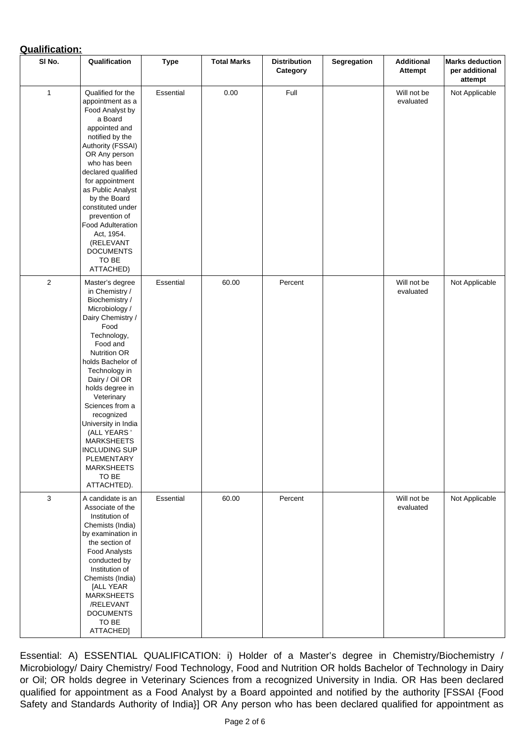# **Qualification:**

| SI No.       | Qualification                                                                                                                                                                                                                                                                                                                                                                                                                 | <b>Type</b>      | <b>Total Marks</b> | <b>Distribution</b><br><b>Category</b> | <b>Segregation</b> | <b>Additional</b><br><b>Attempt</b> | <b>Marks deduction</b><br>per additional<br>attempt |
|--------------|-------------------------------------------------------------------------------------------------------------------------------------------------------------------------------------------------------------------------------------------------------------------------------------------------------------------------------------------------------------------------------------------------------------------------------|------------------|--------------------|----------------------------------------|--------------------|-------------------------------------|-----------------------------------------------------|
| 1            | Qualified for the<br>appointment as a<br>Food Analyst by<br>a Board<br>appointed and<br>notified by the<br><b>Authority (FSSAI)</b><br>OR Any person<br>who has been<br>declared qualified<br>for appointment<br>as Public Analyst<br>by the Board<br>constituted under<br>prevention of<br><b>Food Adulteration</b><br>Act, 1954.<br>(RELEVANT<br><b>DOCUMENTS</b><br>TO BE<br>ATTACHED)                                     | <b>Essential</b> | 0.00               | Full                                   |                    | Will not be<br>evaluated            | Not Applicable                                      |
| 2            | Master's degree<br>in Chemistry /<br>Biochemistry /<br>Microbiology /<br>Dairy Chemistry /<br>Food<br>Technology,<br>Food and<br><b>Nutrition OR</b><br>holds Bachelor of<br>Technology in<br>Dairy / Oil OR<br>holds degree in<br>Veterinary<br>Sciences from a<br>recognized<br>University in India<br>(ALL YEARS '<br><b>MARKSHEETS</b><br><b>INCLUDING SUP</b><br>PLEMENTARY<br><b>MARKSHEETS</b><br>TO BE<br>ATTACHTED). | <b>Essential</b> | 60.00              | Percent                                |                    | Will not be<br>evaluated            | Not Applicable                                      |
| $\mathbf{3}$ | A candidate is an<br>Associate of the<br>Institution of<br>Chemists (India)<br>by examination in<br>the section of<br><b>Food Analysts</b><br>conducted by<br>Institution of<br>Chemists (India)<br>[ALL YEAR<br><b>MARKSHEETS</b><br>/RELEVANT<br><b>DOCUMENTS</b><br>TO BE<br>ATTACHED]                                                                                                                                     | <b>Essential</b> | 60.00              | Percent                                |                    | Will not be<br>evaluated            | <b>Not Applicable</b>                               |

Essential: A) ESSENTIAL QUALIFICATION: i) Holder of a Master's degree in Chemistry/Biochemistry / Microbiology/ Dairy Chemistry/ Food Technology, Food and Nutrition OR holds Bachelor of Technology in Dairy or Oil; OR holds degree in Veterinary Sciences from a recognized University in India. OR Has been declared qualified for appointment as a Food Analyst by a Board appointed and notified by the authority [FSSAI {Food Safety and Standards Authority of India}] OR Any person who has been declared qualified for appointment as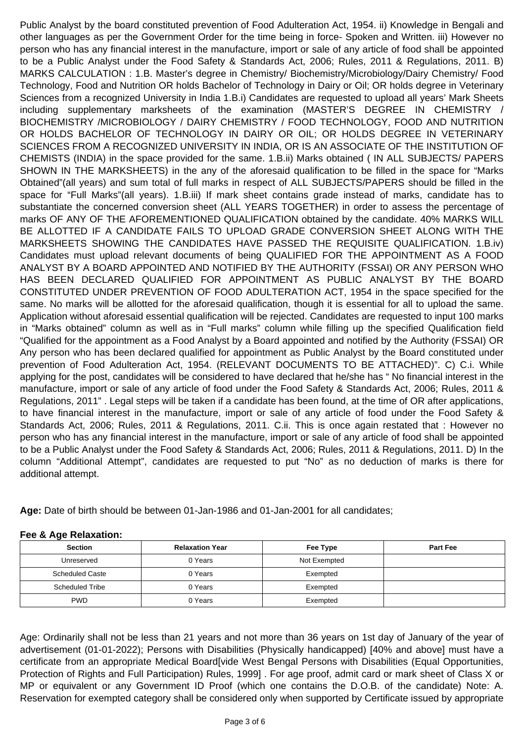Public Analyst by the board constituted prevention of Food Adulteration Act, 1954. ii) Knowledge in Bengali and other languages as per the Government Order for the time being in force- Spoken and Written. iii) However no person who has any financial interest in the manufacture, import or sale of any article of food shall be appointed to be a Public Analyst under the Food Safety & Standards Act, 2006; Rules, 2011 & Regulations, 2011. B) MARKS CALCULATION : 1.B. Master's degree in Chemistry/ Biochemistry/Microbiology/Dairy Chemistry/ Food Technology, Food and Nutrition OR holds Bachelor of Technology in Dairy or Oil; OR holds degree in Veterinary Sciences from a recognized University in India 1.B.i) Candidates are requested to upload all years' Mark Sheets including supplementary marksheets of the examination (MASTER'S DEGREE IN CHEMISTRY / BIOCHEMISTRY /MICROBIOLOGY / DAIRY CHEMISTRY / FOOD TECHNOLOGY, FOOD AND NUTRITION OR HOLDS BACHELOR OF TECHNOLOGY IN DAIRY OR OIL; OR HOLDS DEGREE IN VETERINARY SCIENCES FROM A RECOGNIZED UNIVERSITY IN INDIA, OR IS AN ASSOCIATE OF THE INSTITUTION OF CHEMISTS (INDIA) in the space provided for the same. 1.B.ii) Marks obtained ( IN ALL SUBJECTS/ PAPERS SHOWN IN THE MARKSHEETS) in the any of the aforesaid qualification to be filled in the space for "Marks Obtained"(all years) and sum total of full marks in respect of ALL SUBJECTS/PAPERS should be filled in the space for "Full Marks"(all years). 1.B.iii) If mark sheet contains grade instead of marks, candidate has to substantiate the concerned conversion sheet (ALL YEARS TOGETHER) in order to assess the percentage of marks OF ANY OF THE AFOREMENTIONED QUALIFICATION obtained by the candidate. 40% MARKS WILL BE ALLOTTED IF A CANDIDATE FAILS TO UPLOAD GRADE CONVERSION SHEET ALONG WITH THE MARKSHEETS SHOWING THE CANDIDATES HAVE PASSED THE REQUISITE QUALIFICATION. 1.B.iv) Candidates must upload relevant documents of being QUALIFIED FOR THE APPOINTMENT AS A FOOD ANALYST BY A BOARD APPOINTED AND NOTIFIED BY THE AUTHORITY (FSSAI) OR ANY PERSON WHO HAS BEEN DECLARED QUALIFIED FOR APPOINTMENT AS PUBLIC ANALYST BY THE BOARD CONSTITUTED UNDER PREVENTION OF FOOD ADULTERATION ACT, 1954 in the space specified for the same. No marks will be allotted for the aforesaid qualification, though it is essential for all to upload the same. Application without aforesaid essential qualification will be rejected. Candidates are requested to input 100 marks in "Marks obtained" column as well as in "Full marks" column while filling up the specified Qualification field "Qualified for the appointment as a Food Analyst by a Board appointed and notified by the Authority (FSSAI) OR Any person who has been declared qualified for appointment as Public Analyst by the Board constituted under prevention of Food Adulteration Act, 1954. (RELEVANT DOCUMENTS TO BE ATTACHED)". C) C.i. While applying for the post, candidates will be considered to have declared that he/she has " No financial interest in the manufacture, import or sale of any article of food under the Food Safety & Standards Act, 2006; Rules, 2011 & Regulations, 2011" . Legal steps will be taken if a candidate has been found, at the time of OR after applications, to have financial interest in the manufacture, import or sale of any article of food under the Food Safety & Standards Act, 2006; Rules, 2011 & Regulations, 2011. C.ii. This is once again restated that : However no person who has any financial interest in the manufacture, import or sale of any article of food shall be appointed to be a Public Analyst under the Food Safety & Standards Act, 2006; Rules, 2011 & Regulations, 2011. D) In the column "Additional Attempt", candidates are requested to put "No" as no deduction of marks is there for additional attempt.

**Age:** Date of birth should be between 01-Jan-1986 and 01-Jan-2001 for all candidates;

| <b>Section</b>         | <b>Relaxation Year</b> | Fee Type     | <b>Part Fee</b> |
|------------------------|------------------------|--------------|-----------------|
| Unreserved             | 0 Years                | Not Exempted |                 |
| <b>Scheduled Caste</b> | 0 Years                | Exempted     |                 |
| <b>Scheduled Tribe</b> | 0 Years                | Exempted     |                 |
| <b>PWD</b>             | 0 Years                | Exempted     |                 |

**Fee & Age Relaxation:**

Age: Ordinarily shall not be less than 21 years and not more than 36 years on 1st day of January of the year of advertisement (01-01-2022); Persons with Disabilities (Physically handicapped) [40% and above] must have a certificate from an appropriate Medical Board[vide West Bengal Persons with Disabilities (Equal Opportunities, Protection of Rights and Full Participation) Rules, 1999] . For age proof, admit card or mark sheet of Class X or MP or equivalent or any Government ID Proof (which one contains the D.O.B. of the candidate) Note: A. Reservation for exempted category shall be considered only when supported by Certificate issued by appropriate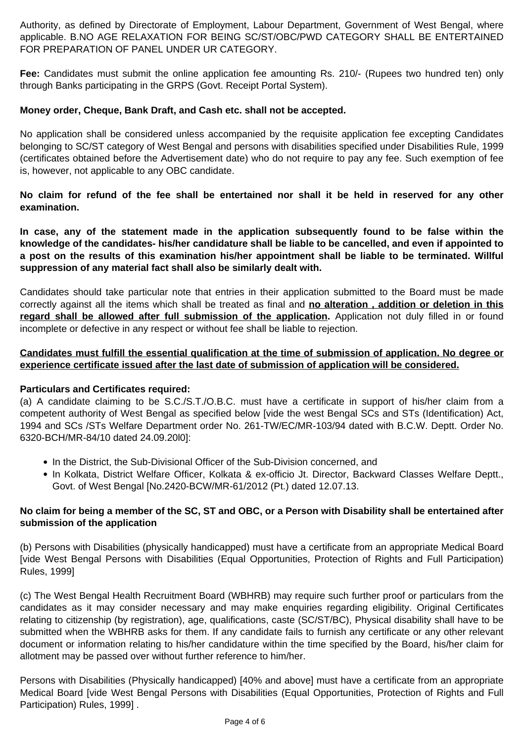Authority, as defined by Directorate of Employment, Labour Department, Government of West Bengal, where applicable. B.NO AGE RELAXATION FOR BEING SC/ST/OBC/PWD CATEGORY SHALL BE ENTERTAINED FOR PREPARATION OF PANEL UNDER UR CATEGORY.

**Fee:** Candidates must submit the online application fee amounting Rs. 210/- (Rupees two hundred ten) only through Banks participating in the GRPS (Govt. Receipt Portal System).

# **Money order, Cheque, Bank Draft, and Cash etc. shall not be accepted.**

No application shall be considered unless accompanied by the requisite application fee excepting Candidates belonging to SC/ST category of West Bengal and persons with disabilities specified under Disabilities Rule, 1999 (certificates obtained before the Advertisement date) who do not require to pay any fee. Such exemption of fee is, however, not applicable to any OBC candidate.

**No claim for refund of the fee shall be entertained nor shall it be held in reserved for any other examination.**

**In case, any of the statement made in the application subsequently found to be false within the knowledge of the candidates- his/her candidature shall be liable to be cancelled, and even if appointed to a post on the results of this examination his/her appointment shall be liable to be terminated. Willful suppression of any material fact shall also be similarly dealt with.**

- In the District, the Sub-Divisional Officer of the Sub-Division concerned, and
- In Kolkata, District Welfare Officer, Kolkata & ex-officio Jt. Director, Backward Classes Welfare Deptt., Govt. of West Bengal [No.2420-BCW/MR-61/2012 (Pt.) dated 12.07.13.

Candidates should take particular note that entries in their application submitted to the Board must be made correctly against all the items which shall be treated as final and **no alteration , addition or deletion in this** regard shall be allowed after full submission of the application. Application not duly filled in or found incomplete or defective in any respect or without fee shall be liable to rejection.

**Candidates must fulfill the essential qualification at the time of submission of application. No degree or experience certificate issued after the last date of submission of application will be considered.**

**Particulars and Certificates required:**

(a) A candidate claiming to be S.C./S.T./O.B.C. must have a certificate in support of his/her claim from a competent authority of West Bengal as specified below [vide the west Bengal SCs and STs (Identification) Act, 1994 and SCs /STs Welfare Department order No. 261-TW/EC/MR-103/94 dated with B.C.W. Deptt. Order No. 6320-BCH/MR-84/10 dated 24.09.20l0]:

# **No claim for being a member of the SC, ST and OBC, or a Person with Disability shall be entertained after submission of the application**

(b) Persons with Disabilities (physically handicapped) must have a certificate from an appropriate Medical Board [vide West Bengal Persons with Disabilities (Equal Opportunities, Protection of Rights and Full Participation) Rules, 1999]

(c) The West Bengal Health Recruitment Board (WBHRB) may require such further proof or particulars from the candidates as it may consider necessary and may make enquiries regarding eligibility. Original Certificates relating to citizenship (by registration), age, qualifications, caste (SC/ST/BC), Physical disability shall have to be submitted when the WBHRB asks for them. If any candidate fails to furnish any certificate or any other relevant document or information relating to his/her candidature within the time specified by the Board, his/her claim for allotment may be passed over without further reference to him/her.

Persons with Disabilities (Physically handicapped) [40% and above] must have a certificate from an appropriate Medical Board [vide West Bengal Persons with Disabilities (Equal Opportunities, Protection of Rights and Full Participation) Rules, 1999] .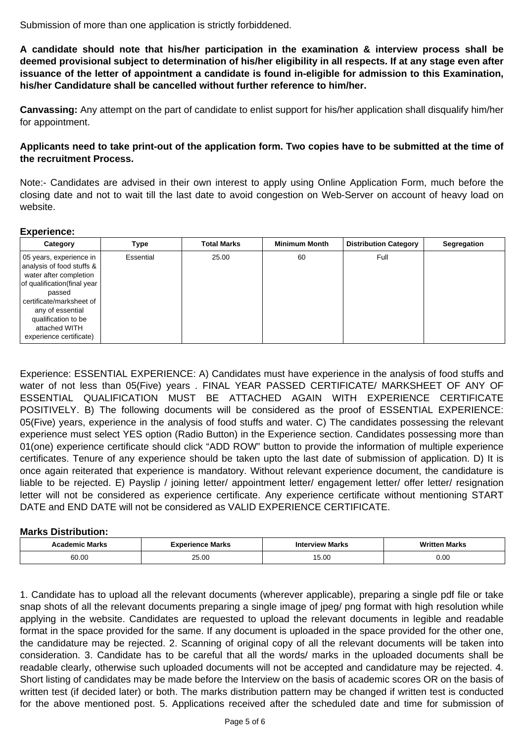Submission of more than one application is strictly forbiddened.

**A candidate should note that his/her participation in the examination & interview process shall be deemed provisional subject to determination of his/her eligibility in all respects. If at any stage even after issuance of the letter of appointment a candidate is found in-eligible for admission to this Examination, his/her Candidature shall be cancelled without further reference to him/her.**

**Canvassing:** Any attempt on the part of candidate to enlist support for his/her application shall disqualify him/her for appointment.

**Applicants need to take print-out of the application form. Two copies have to be submitted at the time of the recruitment Process.**

Note:- Candidates are advised in their own interest to apply using Online Application Form, much before the closing date and not to wait till the last date to avoid congestion on Web-Server on account of heavy load on website.

### **Experience:**

| Category                                                                                                                                                                                                                                    | <b>Type</b>      | <b>Total Marks</b> | <b>Minimum Month</b> | <b>Distribution Category</b> | <b>Segregation</b> |
|---------------------------------------------------------------------------------------------------------------------------------------------------------------------------------------------------------------------------------------------|------------------|--------------------|----------------------|------------------------------|--------------------|
| 05 years, experience in<br>analysis of food stuffs &<br>water after completion<br>of qualification (final year<br>passed<br>certificate/marksheet of<br>any of essential<br>qualification to be<br>attached WITH<br>experience certificate) | <b>Essential</b> | 25.00              | 60                   | <b>Full</b>                  |                    |

Experience: ESSENTIAL EXPERIENCE: A) Candidates must have experience in the analysis of food stuffs and water of not less than 05(Five) years . FINAL YEAR PASSED CERTIFICATE/ MARKSHEET OF ANY OF ESSENTIAL QUALIFICATION MUST BE ATTACHED AGAIN WITH EXPERIENCE CERTIFICATE POSITIVELY. B) The following documents will be considered as the proof of ESSENTIAL EXPERIENCE: 05(Five) years, experience in the analysis of food stuffs and water. C) The candidates possessing the relevant experience must select YES option (Radio Button) in the Experience section. Candidates possessing more than 01(one) experience certificate should click "ADD ROW" button to provide the information of multiple experience certificates. Tenure of any experience should be taken upto the last date of submission of application. D) It is once again reiterated that experience is mandatory. Without relevant experience document, the candidature is liable to be rejected. E) Payslip / joining letter/ appointment letter/ engagement letter/ offer letter/ resignation letter will not be considered as experience certificate. Any experience certificate without mentioning START DATE and END DATE will not be considered as VALID EXPERIENCE CERTIFICATE.

## **Marks Distribution:**

| <b>Marks</b><br>emıc | <b>Marks</b><br>$\cdots$ | rview Marks<br>INIt | <b>Writ</b><br><b>Marks</b><br>ter |  |
|----------------------|--------------------------|---------------------|------------------------------------|--|
| 60.00                | OF UV<br>LU.UU           | $\sim$<br>v.vv      | $0.00\,$                           |  |

1. Candidate has to upload all the relevant documents (wherever applicable), preparing a single pdf file or take snap shots of all the relevant documents preparing a single image of jpeg/ png format with high resolution while applying in the website. Candidates are requested to upload the relevant documents in legible and readable format in the space provided for the same. If any document is uploaded in the space provided for the other one, the candidature may be rejected. 2. Scanning of original copy of all the relevant documents will be taken into consideration. 3. Candidate has to be careful that all the words/ marks in the uploaded documents shall be readable clearly, otherwise such uploaded documents will not be accepted and candidature may be rejected. 4. Short listing of candidates may be made before the Interview on the basis of academic scores OR on the basis of written test (if decided later) or both. The marks distribution pattern may be changed if written test is conducted for the above mentioned post. 5. Applications received after the scheduled date and time for submission of